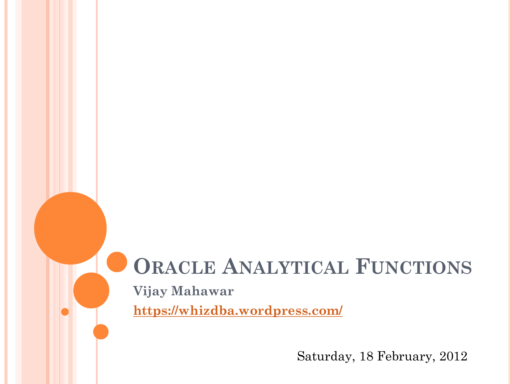# **ORACLE ANALYTICAL FUNCTIONS**

**Vijay Mahawar**

**<https://whizdba.wordpress.com/>**

Saturday, 18 February, 2012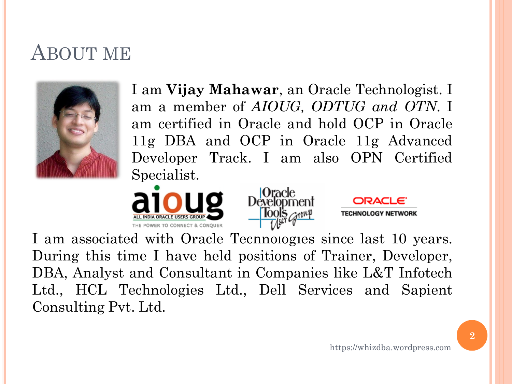### ABOUT ME



I am **Vijay Mahawar**, an Oracle Technologist. I am a member of *AIOUG, ODTUG and OTN*. I am certified in Oracle and hold OCP in Oracle 11g DBA and OCP in Oracle 11g Advanced Developer Track. I am also OPN Certified Specialist.





I am associated with Oracle Technologies since last 10 years. During this time I have held positions of Trainer, Developer, DBA, Analyst and Consultant in Companies like L&T Infotech Ltd., HCL Technologies Ltd., Dell Services and Sapient Consulting Pvt. Ltd.

**ORACLE** 

**TECHNOLOGY NETWORK**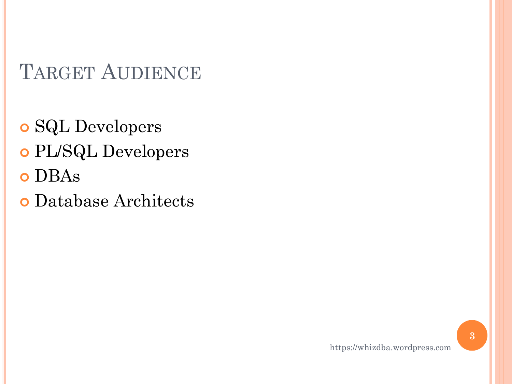## TARGET AUDIENCE

 SQL Developers PL/SQL Developers o DBAs

Database Architects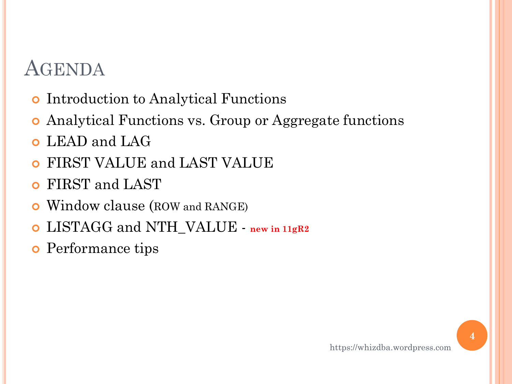### AGENDA

- **o** Introduction to Analytical Functions
- Analytical Functions vs. Group or Aggregate functions
- **o** LEAD and LAG
- FIRST VALUE and LAST VALUE
- FIRST and LAST
- Window clause (ROW and RANGE)
- LISTAGG and NTH\_VALUE **new in 11gR2**
- **o** Performance tips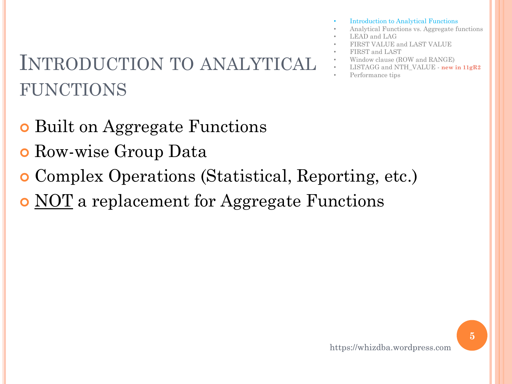#### https://whizdba.wordpress.com

# INTRODUCTION TO ANALYTICAL FUNCTIONS

- Built on Aggregate Functions
- **o** Row-wise Group Data
- Complex Operations (Statistical, Reporting, etc.)
- o NOT a replacement for Aggregate Functions
- Introduction to Analytical Functions
- Analytical Functions vs. Aggregate functions
- LEAD and LAG
- FIRST VALUE and LAST VALUE
- FIRST and LAST
- Window clause (ROW and RANGE)
- LISTAGG and NTH\_VALUE **new in 11gR2**
- Performance tips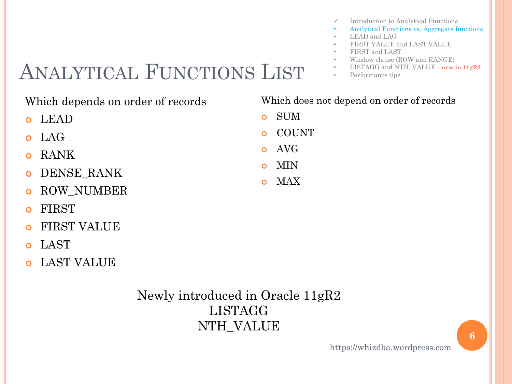- $\checkmark$  Introduction to Analytical Functions
- Analytical Functions vs. Aggregate functions
- LEAD and LAG
- FIRST VALUE and LAST VALUE
- FIRST and LAST
- Window clause (ROW and RANGE)
- LISTAGG and NTH\_VALUE **new in 11gR2**
- Performance tips

# ANALYTICAL FUNCTIONS LIST

#### Which depends on order of records

- LEAD
- LAG
- **o** RANK
- DENSE\_RANK
- **o** ROW NUMBER
- o FIRST
- FIRST VALUE
- LAST
- LAST VALUE

#### Newly introduced in Oracle 11gR2 LISTAGG NTH\_VALUE

#### Which does not depend on order of records

- SUM
- COUNT
- AVG
- MIN
- MAX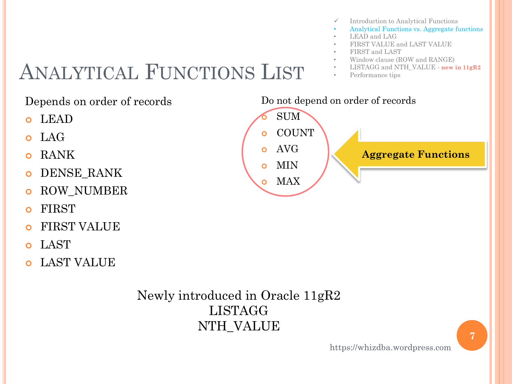- $\checkmark$  Introduction to Analytical Functions
- Analytical Functions vs. Aggregate functions
- LEAD and LAG
- FIRST VALUE and LAST VALUE
- FIRST and LAST
- Window clause (ROW and RANGE)
- LISTAGG and NTH\_VALUE **new in 11gR2**
- Performance tips

# ANALYTICAL FUNCTIONS LIST

Do not depend on order of records SUM o COUNT o AVG o MIN Depends on order of records LEAD LAG o RANK DENSE\_RANK

- **o** ROW NUMBER
- o FIRST
- FIRST VALUE
- LAST
- LAST VALUE

Newly introduced in Oracle 11gR2 LISTAGG NTH\_VALUE

o MAX **Aggregate Functions**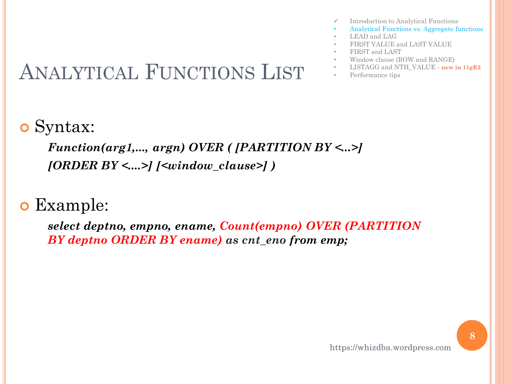- Introduction to Analytical Functions • Analytical Functions vs. Aggregate functions
	-
- LEAD and LAG
- FIRST VALUE and LAST VALUE
- FIRST and LAST
- Window clause (ROW and RANGE)
- 
- 

### o Syntax:

*Function(arg1,..., argn) OVER ( [PARTITION BY <...>] [ORDER BY <....>] [<window\_clause>] )*

### Example:

*select deptno, empno, ename, Count(empno) OVER (PARTITION BY deptno ORDER BY ename) as cnt\_eno from emp;*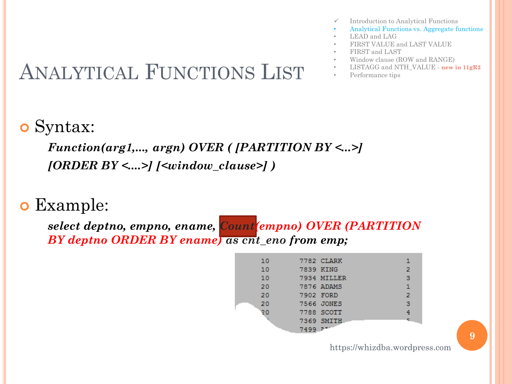- Introduction to Analytical Functions
- Analytical Functions vs. Aggregate functions
- LEAD and LAG
- FIRST VALUE and LAST VALUE
- FIRST and LAST
- Window clause (ROW and RANGE)
- 
- 

### Syntax:

*Function(arg1,..., argn) OVER ( [PARTITION BY <...>] [ORDER BY <....>] [<window\_clause>] )*

#### Example:

*select deptno, empno, ename, Count(empno) OVER (PARTITION BY deptno ORDER BY ename) as cnt\_eno from emp;*

| 10 |           | 7782 CLARK  | 1            |
|----|-----------|-------------|--------------|
| 10 | 7839 KING |             | 2            |
| 10 |           | 7934 MILLER | 3            |
| 20 |           | 7876 ADAMS  | $\mathbf{1}$ |
| 20 | 7902 FORD |             | o.           |
| 20 |           | 7566 JONES  | з            |
| 20 |           | 7788 SCOTT  | 4            |
|    |           | 7369 SMITH  |              |
|    | 7499 777  |             |              |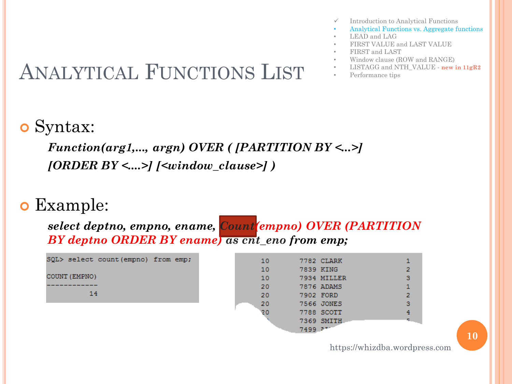- Introduction to Analytical Functions
- Analytical Functions vs. Aggregate functions
- LEAD and LAG
- FIRST VALUE and LAST VALUE
- FIRST and LAST
- Window clause (ROW and RANGE)
- 
- 

### o Syntax:

*Function(arg1,..., argn) OVER ( [PARTITION BY <...>] [ORDER BY <....>] [<window\_clause>] )*

#### Example:

*select deptno, empno, ename, Count(empno) OVER (PARTITION BY deptno ORDER BY ename) as cnt\_eno from emp;*

SOL> select count (empno) from emp; COUNT (EMPNO) 14

| 10 |         | 7782 CLARK  |                |
|----|---------|-------------|----------------|
| 10 |         | 7839 KING   | $\overline{2}$ |
| 10 |         | 7934 MILLER | 3              |
| 20 |         | 7876 ADAMS  | $\mathbf{1}$   |
| 20 |         | 7902 FORD   | $\overline{2}$ |
| 20 |         | 7566 JONES  | з              |
| 20 |         | 7788 SCOTT  | 4              |
|    |         | 7369 SMITH  |                |
|    | 7499 77 |             |                |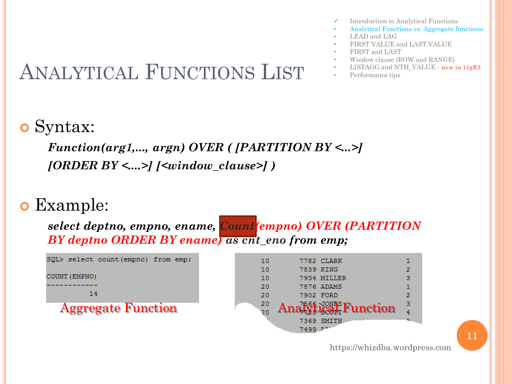- Introduction to Analytical Functions
- Analytical Functions vs. Aggregate functions
- LEAD and LAG
- FIRST VALUE and LAST VALUE
- FIRST and LAST
- Window clause (ROW and RANGE)
- 
- 

### o Syntax:

*Function(arg1,..., argn) OVER ( [PARTITION BY <...>] [ORDER BY <....>] [<window\_clause>] )*

#### Example:

*select deptno, empno, ename, Count(empno) OVER (PARTITION BY deptno ORDER BY ename) as cnt\_eno from emp;*

SOL> select count (empno) from emp; COUNT (EMPNO) 14 **Aggregate Function** 

| 10 |      | 7782 CLARK                       |   |
|----|------|----------------------------------|---|
| 10 |      | 7839 KING                        |   |
| 10 |      | 7934 MILLER                      | з |
| 20 |      | 7876 ADAMS                       |   |
| 20 |      | 7902 FORD                        | 2 |
| 20 |      | Analytical <sup>s</sup> Function | з |
| 20 |      |                                  |   |
|    |      | 7369 SMITH                       |   |
|    | 7499 |                                  |   |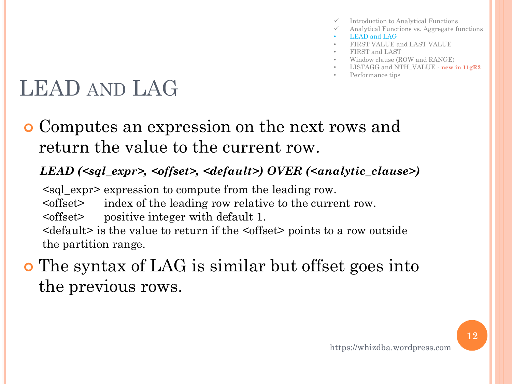- Introduction to Analytical Functions
- Analytical Functions vs. Aggregate functions
- LEAD and LAG
- FIRST VALUE and LAST VALUE
- FIRST and LAST
- Window clause (ROW and RANGE)
- LISTAGG and NTH\_VALUE **new in 11gR2**
- Performance tips

# LEAD AND LAG

 Computes an expression on the next rows and return the value to the current row.

#### *LEAD (<sql\_expr>, <offset>, <default>) OVER (<analytic\_clause>)*

<sql\_expr> expression to compute from the leading row. <offset> index of the leading row relative to the current row. <offset> positive integer with default 1. <default> is the value to return if the <offset> points to a row outside the partition range.

### The syntax of LAG is similar but offset goes into the previous rows.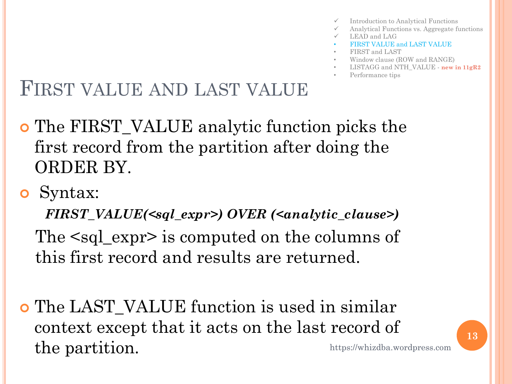- Introduction to Analytical Functions
- Analytical Functions vs. Aggregate functions
- LEAD and LAG
- FIRST VALUE and LAST VALUE
- FIRST and LAST
- Window clause (ROW and RANGE)
- LISTAGG and NTH\_VALUE **new in 11gR2**
- Performance tips

### FIRST VALUE AND LAST VALUE

- The FIRST\_VALUE analytic function picks the first record from the partition after doing the ORDER BY.
- Syntax:

*FIRST\_VALUE(<sql\_expr>) OVER (<analytic\_clause>)* The <sql\_expr> is computed on the columns of this first record and results are returned.

**o** The LAST VALUE function is used in similar context except that it acts on the last record of the partition. https://whizdba.wordpress.com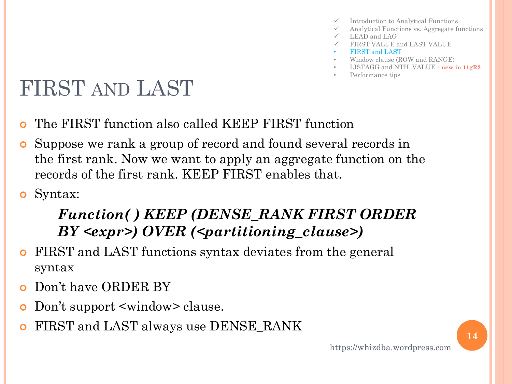- Introduction to Analytical Functions
- Analytical Functions vs. Aggregate functions
- LEAD and LAG
- FIRST VALUE and LAST VALUE
- FIRST and LAST
- Window clause (ROW and RANGE)
- LISTAGG and NTH\_VALUE **new in 11gR2**
- Performance tips

# FIRST AND LAST

- The FIRST function also called KEEP FIRST function
- Suppose we rank a group of record and found several records in the first rank. Now we want to apply an aggregate function on the records of the first rank. KEEP FIRST enables that.
- Syntax:

#### *Function( ) KEEP (DENSE\_RANK FIRST ORDER BY <expr>) OVER (<partitioning\_clause>)*

- FIRST and LAST functions syntax deviates from the general syntax
- Don't have ORDER BY
- Don't support <window> clause.
- FIRST and LAST always use DENSE\_RANK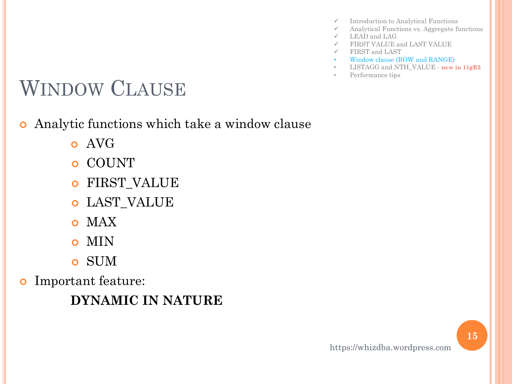- $\checkmark$  Introduction to Analytical Functions
- $\checkmark$  Analytical Functions vs. Aggregate functions
- $\checkmark$  LEAD and LAG
- FIRST VALUE and LAST VALUE
- FIRST and LAST
- Window clause (ROW and RANGE)
- LISTAGG and NTH\_VALUE **new in 11gR2**
- Performance tips

# WINDOW CLAUSE

- Analytic functions which take a window clause
	- o AVG
	- COUNT
	- FIRST\_VALUE
	- LAST\_VALUE
	- o MAX
	- o MIN
	- SUM
- Important feature:

**DYNAMIC IN NATURE**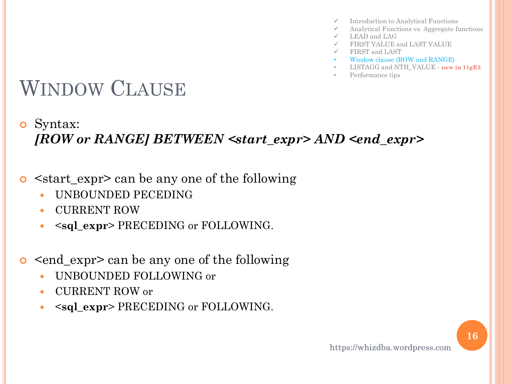- $\checkmark$  Introduction to Analytical Functions
- $\checkmark$  Analytical Functions vs. Aggregate functions
- $\checkmark$  LEAD and LAG
- FIRST VALUE and LAST VALUE
- $\checkmark$  FIRST and LAST
- Window clause (ROW and RANGE)
- LISTAGG and NTH\_VALUE **new in 11gR2**
- Performance tips

# WINDOW CLAUSE

#### Syntax: *[ROW or RANGE] BETWEEN <start\_expr> AND <end\_expr>*

- <start\_expr> can be any one of the following
	- UNBOUNDED PECEDING
	- CURRENT ROW
	- <**sql\_expr**> PRECEDING or FOLLOWING.
- $\leq$  end\_expr> can be any one of the following
	- UNBOUNDED FOLLOWING or
	- CURRENT ROW or
	- <**sql\_expr**> PRECEDING or FOLLOWING.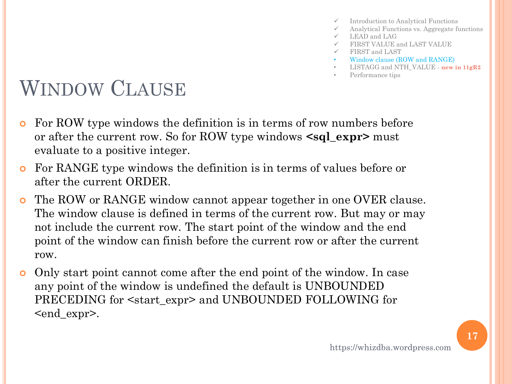- Introduction to Analytical Functions
- $\checkmark$  Analytical Functions vs. Aggregate functions
- $\checkmark$  LEAD and LAG
- FIRST VALUE and LAST VALUE
- FIRST and LAST
- Window clause (ROW and RANGE)
- LISTAGG and NTH\_VALUE **new in 11gR2**
- Performance tips

## WINDOW CLAUSE

- **•** For ROW type windows the definition is in terms of row numbers before or after the current row. So for ROW type windows **<sql\_expr>** must evaluate to a positive integer.
- For RANGE type windows the definition is in terms of values before or after the current ORDER.
- The ROW or RANGE window cannot appear together in one OVER clause. The window clause is defined in terms of the current row. But may or may not include the current row. The start point of the window and the end point of the window can finish before the current row or after the current row.
- Only start point cannot come after the end point of the window. In case any point of the window is undefined the default is UNBOUNDED PRECEDING for <start\_expr> and UNBOUNDED FOLLOWING for <end\_expr>.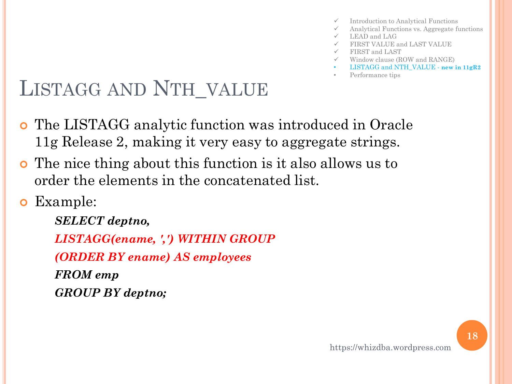- Introduction to Analytical Functions
- Analytical Functions vs. Aggregate functions
- $\checkmark$  LEAD and LAG
- FIRST VALUE and LAST VALUE
- $\checkmark$  FIRST and LAST
- Window clause (ROW and RANGE)
- LISTAGG and NTH\_VALUE **new in 11gR2**
- Performance tips

- The LISTAGG analytic function was introduced in Oracle 11g Release 2, making it very easy to aggregate strings.
- The nice thing about this function is it also allows us to order the elements in the concatenated list.
- Example:

*SELECT deptno, LISTAGG(ename, ',') WITHIN GROUP (ORDER BY ename) AS employees FROM emp GROUP BY deptno;*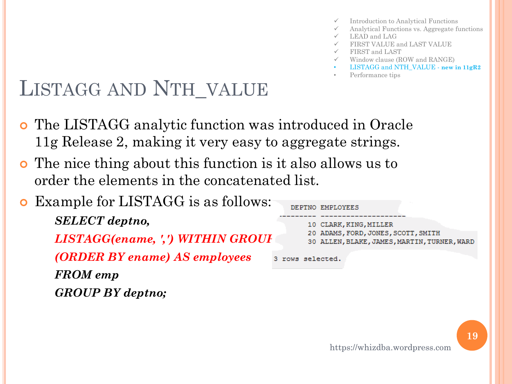- Introduction to Analytical Functions
- Analytical Functions vs. Aggregate functions
- $\checkmark$  LEAD and LAG
- FIRST VALUE and LAST VALUE
- FIRST and LAST
- Window clause (ROW and RANGE)
- LISTAGG and NTH\_VALUE **new in 11gR2**
- Performance tips

- The LISTAGG analytic function was introduced in Oracle 11g Release 2, making it very easy to aggregate strings.
- The nice thing about this function is it also allows us to order the elements in the concatenated list.

#### Example for LISTAGG is as follows:

*SELECT deptno, LISTAGG(ename, ',') WITHIN GROUP (ORDER BY ename) AS employees FROM emp GROUP BY deptno;*

#### DEPTNO EMPLOYEE: 10 CLARK, KING, MILLER 20 ADAMS, FORD, JONES, SCOTT, SMITH 30 ALLEN, BLAKE, JAMES, MARTIN, TURNER, WARD

3 rows selected.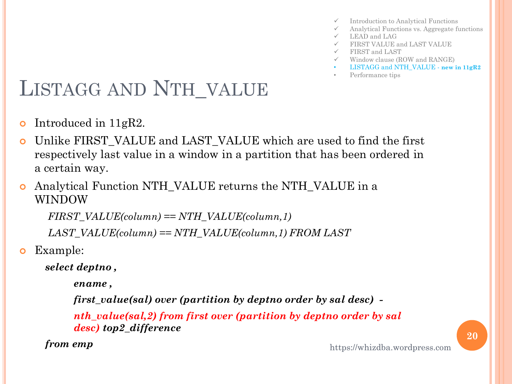- $\checkmark$  Introduction to Analytical Functions
- $\checkmark$  Analytical Functions vs. Aggregate functions
- $\checkmark$  LEAD and LAG
- FIRST VALUE and LAST VALUE
- FIRST and LAST
- $\checkmark$  Window clause (ROW and RANGE)
- LISTAGG and NTH\_VALUE **new in 11gR2**
- Performance tips

- Introduced in  $11gR2$ .
- Unlike FIRST\_VALUE and LAST\_VALUE which are used to find the first respectively last value in a window in a partition that has been ordered in a certain way.
- Analytical Function NTH\_VALUE returns the NTH\_VALUE in a WINDOW

*FIRST\_VALUE(column) == NTH\_VALUE(column,1)*

*LAST\_VALUE(column) == NTH\_VALUE(column,1) FROM LAST*

Example:

*select deptno ,*

 *ename ,* 

 *first\_value(sal) over (partition by deptno order by sal desc) -*

 *nth\_value(sal,2) from first over (partition by deptno order by sal desc) top2\_difference* 

*from emp*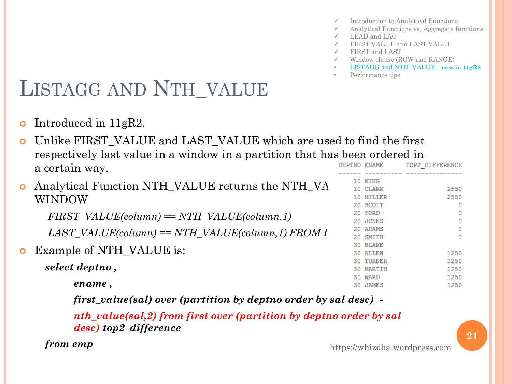- $\checkmark$  Introduction to Analytical Functions
- $\checkmark$  Analytical Functions vs. Aggregate functions
- $\checkmark$  LEAD and LAG
- FIRST VALUE and LAST VALUE
- $\checkmark$  FIRST and LAST
- $\checkmark$  Window clause (ROW and RANGE)
- LISTAGG and NTH\_VALUE **new in 11gR2**
- Performance tips

• Introduced in 11gR2.

 Unlike FIRST\_VALUE and LAST\_VALUE which are used to find the first respectively last value in a window in a partition that has been ordered in DEPTNO ENAME TOP2 DIFFERENCE a certain way.

|           | <b>o</b> Analytical Function NTH_VALUE returns the NTH_VA |  | 10 KING<br>10 CLARK | 2550       |
|-----------|-----------------------------------------------------------|--|---------------------|------------|
|           | WINDOW                                                    |  | 10 MILLER           | 2550       |
|           |                                                           |  | 20 SCOTT            | 0          |
|           | $FIRST\_VALUE(column) == NTH\_VALUE(column, 1)$           |  | 20 FORD             | 0          |
|           |                                                           |  | 20 JONES            | 0          |
|           | $LAST\_VALUE(column) == NTH\_VALUE(column, 1) FROM L$     |  | 20 ADAMS            | 0          |
|           |                                                           |  | 20 SMITH            | $^{\circ}$ |
|           |                                                           |  | 30 BLAKE            |            |
| $\bullet$ | Example of NTH_VALUE is:                                  |  | <b>30 ALLEN</b>     | 1250       |
|           |                                                           |  | <b>30 TURNER</b>    | 1250       |
|           | select deptno,                                            |  | 30 MARTIN           | 1250       |
|           |                                                           |  | 30 WARD             | 1250       |
|           | ename,                                                    |  | 30 JAMES            | 1250       |
|           |                                                           |  |                     |            |

 *first\_value(sal) over (partition by deptno order by sal desc) -*

 *nth\_value(sal,2) from first over (partition by deptno order by sal desc) top2\_difference* 

*from emp*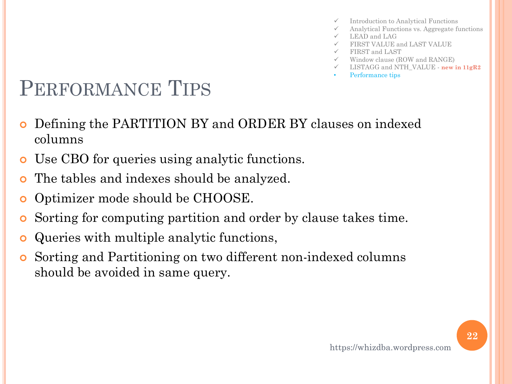- Introduction to Analytical Functions
- Analytical Functions vs. Aggregate functions
- $\checkmark$  LEAD and LAG
- FIRST VALUE and LAST VALUE
- FIRST and LAST
- $\checkmark$  Window clause (ROW and RANGE)
- LISTAGG and NTH\_VALUE **new in 11gR2**
- Performance tips

### PERFORMANCE TIPS

- Defining the PARTITION BY and ORDER BY clauses on indexed columns
- Use CBO for queries using analytic functions.
- The tables and indexes should be analyzed.
- **o** Optimizer mode should be CHOOSE.
- Sorting for computing partition and order by clause takes time.
- Queries with multiple analytic functions,
- Sorting and Partitioning on two different non-indexed columns should be avoided in same query.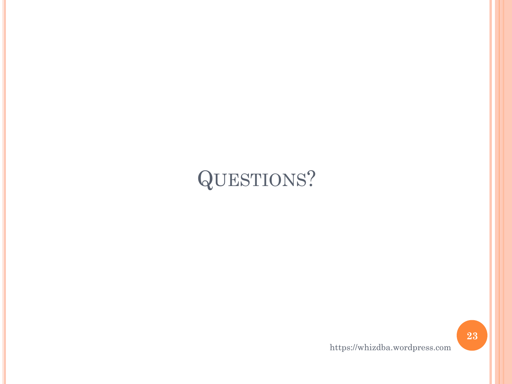# QUESTIONS?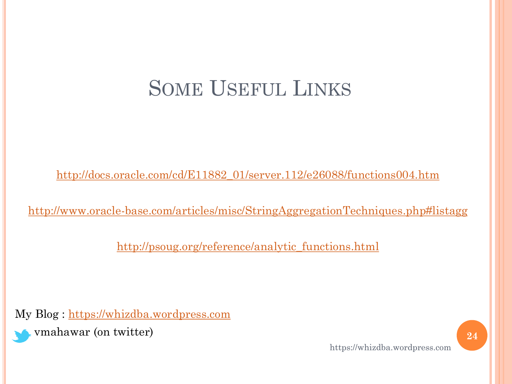### SOME USEFUL LINKS

[http://docs.oracle.com/cd/E11882\\_01/server.112/e26088/functions004.htm](http://docs.oracle.com/cd/E11882_01/server.112/e26088/functions004.htm)

[http://www.oracle-base.com/articles/misc/StringAggregationTechniques.php#listagg](http://www.oracle-base.com/articles/misc/StringAggregationTechniques.php)

[http://psoug.org/reference/analytic\\_functions.html](http://psoug.org/reference/analytic_functions.html)

My Blog : [https://whizdba.wordpress.com](https://whizdba.wordpress.com/)

vmahawar (on twitter) **24**